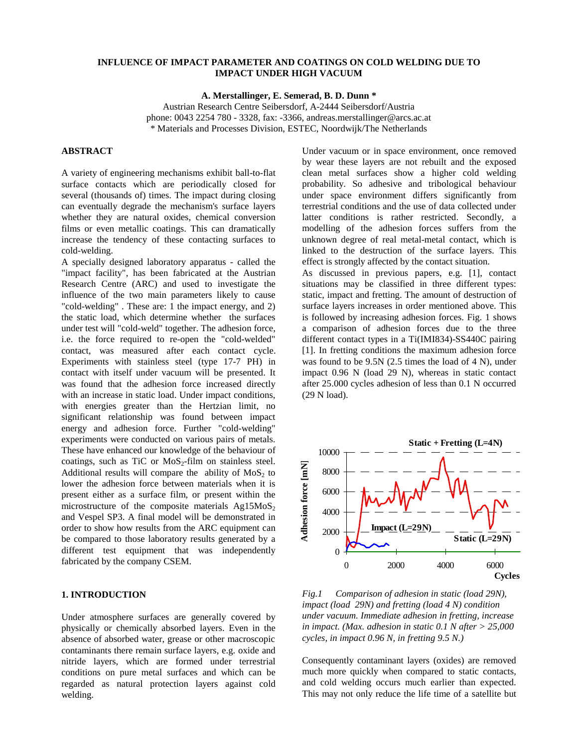## **INFLUENCE OF IMPACT PARAMETER AND COATINGS ON COLD WELDING DUE TO IMPACT UNDER HIGH VACUUM**

**A. Merstallinger, E. Semerad, B. D. Dunn \***

Austrian Research Centre Seibersdorf, A-2444 Seibersdorf/Austria phone: 0043 2254 780 - 3328, fax: -3366, andreas.merstallinger@arcs.ac.at \* Materials and Processes Division, ESTEC, Noordwijk/The Netherlands

# **ABSTRACT**

A variety of engineering mechanisms exhibit ball-to-flat surface contacts which are periodically closed for several (thousands of) times. The impact during closing can eventually degrade the mechanism's surface layers whether they are natural oxides, chemical conversion films or even metallic coatings. This can dramatically increase the tendency of these contacting surfaces to cold-welding.

A specially designed laboratory apparatus - called the "impact facility", has been fabricated at the Austrian Research Centre (ARC) and used to investigate the influence of the two main parameters likely to cause "cold-welding" . These are: 1 the impact energy, and 2) the static load, which determine whether the surfaces under test will "cold-weld" together. The adhesion force, i.e. the force required to re-open the "cold-welded" contact, was measured after each contact cycle. Experiments with stainless steel (type 17-7 PH) in contact with itself under vacuum will be presented. It was found that the adhesion force increased directly with an increase in static load. Under impact conditions, with energies greater than the Hertzian limit, no significant relationship was found between impact energy and adhesion force. Further "cold-welding" experiments were conducted on various pairs of metals. These have enhanced our knowledge of the behaviour of coatings, such as TiC or  $MoS_2$ -film on stainless steel. Additional results will compare the ability of  $MoS<sub>2</sub>$  to lower the adhesion force between materials when it is present either as a surface film, or present within the microstructure of the composite materials  $Ag15MoS<sub>2</sub>$ and Vespel SP3. A final model will be demonstrated in order to show how results from the ARC equipment can be compared to those laboratory results generated by a different test equipment that was independently fabricated by the company CSEM.

### **1. INTRODUCTION**

Under atmosphere surfaces are generally covered by physically or chemically absorbed layers. Even in the absence of absorbed water, grease or other macroscopic contaminants there remain surface layers, e.g. oxide and nitride layers, which are formed under terrestrial conditions on pure metal surfaces and which can be regarded as natural protection layers against cold welding.

Under vacuum or in space environment, once removed by wear these layers are not rebuilt and the exposed clean metal surfaces show a higher cold welding probability. So adhesive and tribological behaviour under space environment differs significantly from terrestrial conditions and the use of data collected under latter conditions is rather restricted. Secondly, a modelling of the adhesion forces suffers from the unknown degree of real metal-metal contact, which is linked to the destruction of the surface layers. This effect is strongly affected by the contact situation.

As discussed in previous papers, e.g. [1], contact situations may be classified in three different types: static, impact and fretting. The amount of destruction of surface layers increases in order mentioned above. This is followed by increasing adhesion forces. Fig. 1 shows a comparison of adhesion forces due to the three different contact types in a Ti(IMI834)-SS440C pairing [1]. In fretting conditions the maximum adhesion force was found to be 9.5N (2.5 times the load of 4 N), under impact 0.96 N (load 29 N), whereas in static contact after 25.000 cycles adhesion of less than 0.1 N occurred (29 N load).



*Fig.1 Comparison of adhesion in static (load 29N), impact (load 29N) and fretting (load 4 N) condition under vacuum. Immediate adhesion in fretting, increase in impact. (Max. adhesion in static 0.1 N after > 25,000 cycles, in impact 0.96 N, in fretting 9.5 N.)*

Consequently contaminant layers (oxides) are removed much more quickly when compared to static contacts, and cold welding occurs much earlier than expected. This may not only reduce the life time of a satellite but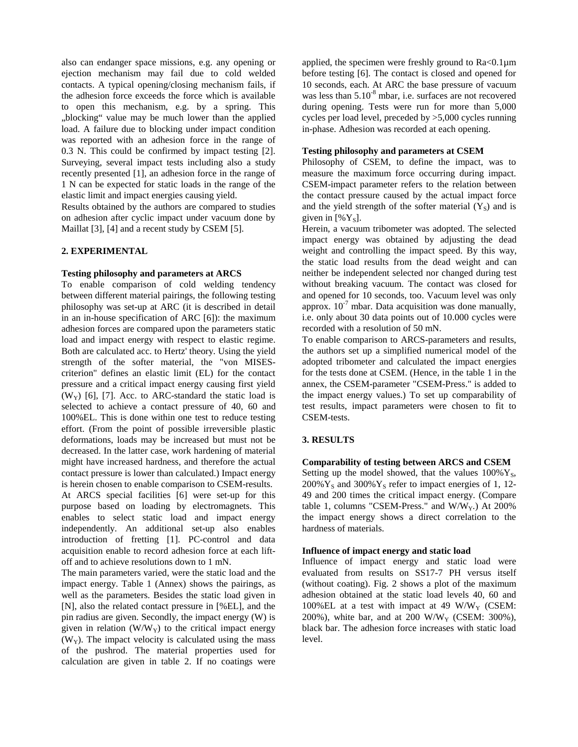also can endanger space missions, e.g. any opening or ejection mechanism may fail due to cold welded contacts. A typical opening/closing mechanism fails, if the adhesion force exceeds the force which is available to open this mechanism, e.g. by a spring. This "blocking" value may be much lower than the applied load. A failure due to blocking under impact condition was reported with an adhesion force in the range of 0.3 N. This could be confirmed by impact testing [2]. Surveying, several impact tests including also a study recently presented [1], an adhesion force in the range of 1 N can be expected for static loads in the range of the elastic limit and impact energies causing yield.

Results obtained by the authors are compared to studies on adhesion after cyclic impact under vacuum done by Maillat [3], [4] and a recent study by CSEM [5].

## **2. EXPERIMENTAL**

#### **Testing philosophy and parameters at ARCS**

To enable comparison of cold welding tendency between different material pairings, the following testing philosophy was set-up at ARC (it is described in detail in an in-house specification of ARC [6]): the maximum adhesion forces are compared upon the parameters static load and impact energy with respect to elastic regime. Both are calculated acc. to Hertz' theory. Using the yield strength of the softer material, the "von MISEScriterion" defines an elastic limit (EL) for the contact pressure and a critical impact energy causing first yield  $(W_Y)$  [6], [7]. Acc. to ARC-standard the static load is selected to achieve a contact pressure of 40, 60 and 100%EL. This is done within one test to reduce testing effort. (From the point of possible irreversible plastic deformations, loads may be increased but must not be decreased. In the latter case, work hardening of material might have increased hardness, and therefore the actual contact pressure is lower than calculated.) Impact energy is herein chosen to enable comparison to CSEM-results. At ARCS special facilities [6] were set-up for this purpose based on loading by electromagnets. This enables to select static load and impact energy independently. An additional set-up also enables introduction of fretting [1]. PC-control and data acquisition enable to record adhesion force at each liftoff and to achieve resolutions down to 1 mN.

The main parameters varied, were the static load and the impact energy. Table 1 (Annex) shows the pairings, as well as the parameters. Besides the static load given in [N], also the related contact pressure in [%EL], and the pin radius are given. Secondly, the impact energy (W) is given in relation  $(W/W_Y)$  to the critical impact energy  $(W<sub>y</sub>)$ . The impact velocity is calculated using the mass of the pushrod. The material properties used for calculation are given in table 2. If no coatings were

applied, the specimen were freshly ground to  $Ra<0.1\mu$ m before testing [6]. The contact is closed and opened for 10 seconds, each. At ARC the base pressure of vacuum was less than  $5.10^{-8}$  mbar, i.e. surfaces are not recovered during opening. Tests were run for more than 5,000 cycles per load level, preceded by >5,000 cycles running in-phase. Adhesion was recorded at each opening.

#### **Testing philosophy and parameters at CSEM**

Philosophy of CSEM, to define the impact, was to measure the maximum force occurring during impact. CSEM-impact parameter refers to the relation between the contact pressure caused by the actual impact force and the yield strength of the softer material  $(Y<sub>S</sub>)$  and is given in  $[\%Y_s]$ .

Herein, a vacuum tribometer was adopted. The selected impact energy was obtained by adjusting the dead weight and controlling the impact speed. By this way, the static load results from the dead weight and can neither be independent selected nor changed during test without breaking vacuum. The contact was closed for and opened for 10 seconds, too. Vacuum level was only approx.  $10^{-7}$  mbar. Data acquisition was done manually, i.e. only about 30 data points out of 10.000 cycles were recorded with a resolution of 50 mN.

To enable comparison to ARCS-parameters and results, the authors set up a simplified numerical model of the adopted tribometer and calculated the impact energies for the tests done at CSEM. (Hence, in the table 1 in the annex, the CSEM-parameter "CSEM-Press." is added to the impact energy values.) To set up comparability of test results, impact parameters were chosen to fit to CSEM-tests.

### **3. RESULTS**

#### **Comparability of testing between ARCS and CSEM**

Setting up the model showed, that the values  $100\%$  Y<sub>S</sub>,  $200\%$  Y<sub>s</sub> and  $300\%$  Y<sub>s</sub> refer to impact energies of 1, 12-49 and 200 times the critical impact energy. (Compare table 1, columns "CSEM-Press." and  $W/W_Y$ .) At 200% the impact energy shows a direct correlation to the hardness of materials.

### **Influence of impact energy and static load**

Influence of impact energy and static load were evaluated from results on SS17-7 PH versus itself (without coating). Fig. 2 shows a plot of the maximum adhesion obtained at the static load levels 40, 60 and 100%EL at a test with impact at 49 W/W<sub>Y</sub> (CSEM: 200%), white bar, and at 200 W/W<sub>Y</sub> (CSEM: 300%), black bar. The adhesion force increases with static load level.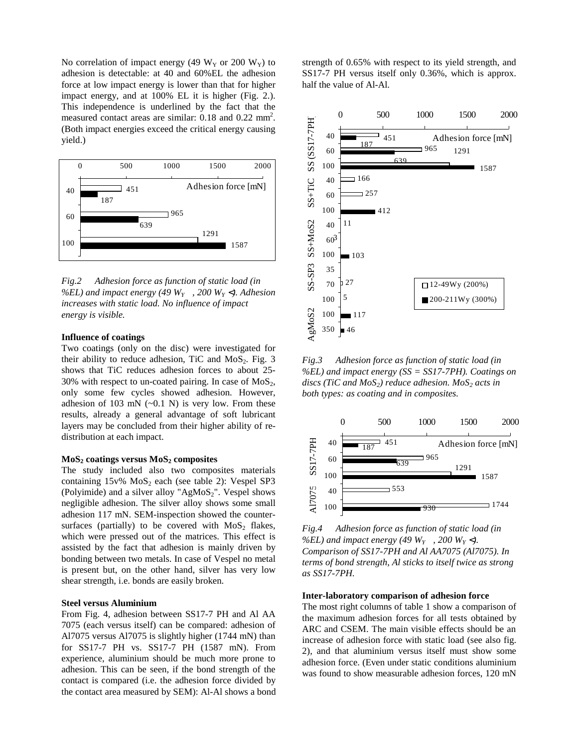No correlation of impact energy (49  $W_Y$  or 200  $W_Y$ ) to adhesion is detectable: at 40 and 60%EL the adhesion force at low impact energy is lower than that for higher impact energy, and at 100% EL it is higher (Fig. 2.). This independence is underlined by the fact that the measured contact areas are similar: 0.18 and 0.22 mm<sup>2</sup>. (Both impact energies exceed the critical energy causing yield.)



*Fig.2 Adhesion force as function of static load (in* %EL) and impact energy (49  $W_Y$ , 200  $W_Y$  <). Adhesion *increases with static load. No influence of impact energy is visible.*

#### **Influence of coatings**

Two coatings (only on the disc) were investigated for their ability to reduce adhesion, TiC and  $MoS<sub>2</sub>$ . Fig. 3 shows that TiC reduces adhesion forces to about 25- 30% with respect to un-coated pairing. In case of  $MoS<sub>2</sub>$ , only some few cycles showed adhesion. However, adhesion of 103 mN  $(-0.1 \text{ N})$  is very low. From these results, already a general advantage of soft lubricant layers may be concluded from their higher ability of redistribution at each impact.

#### MoS<sub>2</sub> coatings versus MoS<sub>2</sub> composites

The study included also two composites materials containing  $15v\%$  MoS<sub>2</sub> each (see table 2): Vespel SP3 (Polyimide) and a silver alloy " $AgMoS<sub>2</sub>$ ". Vespel shows negligible adhesion. The silver alloy shows some small adhesion 117 mN. SEM-inspection showed the countersurfaces (partially) to be covered with  $MoS<sub>2</sub>$  flakes, which were pressed out of the matrices. This effect is assisted by the fact that adhesion is mainly driven by bonding between two metals. In case of Vespel no metal is present but, on the other hand, silver has very low shear strength, i.e. bonds are easily broken.

#### **Steel versus Aluminium**

From Fig. 4, adhesion between SS17-7 PH and Al AA 7075 (each versus itself) can be compared: adhesion of Al7075 versus Al7075 is slightly higher (1744 mN) than for SS17-7 PH vs. SS17-7 PH (1587 mN). From experience, aluminium should be much more prone to adhesion. This can be seen, if the bond strength of the contact is compared (i.e. the adhesion force divided by the contact area measured by SEM): Al-Al shows a bond strength of 0.65% with respect to its yield strength, and SS17-7 PH versus itself only 0.36%, which is approx. half the value of Al-Al.



*Fig.3 Adhesion force as function of static load (in %EL) and impact energy (SS = SS17-7PH). Coatings on* discs (TiC and MoS<sub>2</sub>) reduce adhesion. MoS<sub>2</sub> acts in *both types: as coating and in composites.*



*Fig.4 Adhesion force as function of static load (in* %EL) and impact energy (49  $W_Y$ , 200  $W_Y$  <). *Comparison of SS17-7PH and Al AA7075 (Al7075). In terms of bond strength, Al sticks to itself twice as strong as SS17-7PH.*

#### **Inter-laboratory comparison of adhesion force**

The most right columns of table 1 show a comparison of the maximum adhesion forces for all tests obtained by ARC and CSEM. The main visible effects should be an increase of adhesion force with static load (see also fig. 2), and that aluminium versus itself must show some adhesion force. (Even under static conditions aluminium was found to show measurable adhesion forces, 120 mN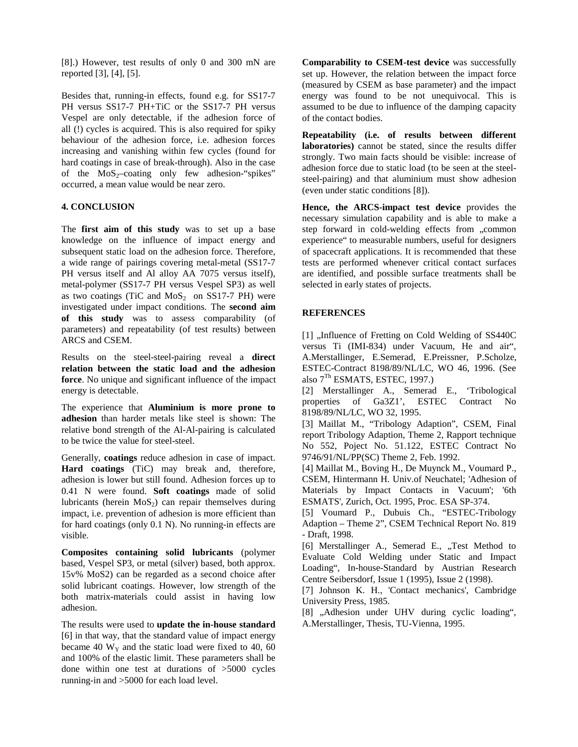[8].) However, test results of only 0 and 300 mN are reported [3], [4], [5].

Besides that, running-in effects, found e.g. for SS17-7 PH versus SS17-7 PH+TiC or the SS17-7 PH versus Vespel are only detectable, if the adhesion force of all (!) cycles is acquired. This is also required for spiky behaviour of the adhesion force, i.e. adhesion forces increasing and vanishing within few cycles (found for hard coatings in case of break-through). Also in the case of the  $MoS_2$ -coating only few adhesion-"spikes" occurred, a mean value would be near zero.

## **4. CONCLUSION**

The **first aim of this study** was to set up a base knowledge on the influence of impact energy and subsequent static load on the adhesion force. Therefore, a wide range of pairings covering metal-metal (SS17-7 PH versus itself and Al alloy AA 7075 versus itself), metal-polymer (SS17-7 PH versus Vespel SP3) as well as two coatings (TiC and  $MoS<sub>2</sub>$  on SS17-7 PH) were investigated under impact conditions. The **second aim of this study** was to assess comparability (of parameters) and repeatability (of test results) between ARCS and CSEM.

Results on the steel-steel-pairing reveal a **direct relation between the static load and the adhesion force**. No unique and significant influence of the impact energy is detectable.

The experience that **Aluminium is more prone to adhesion** than harder metals like steel is shown: The relative bond strength of the Al-Al-pairing is calculated to be twice the value for steel-steel.

Generally, **coatings** reduce adhesion in case of impact. **Hard coatings** (TiC) may break and, therefore, adhesion is lower but still found. Adhesion forces up to 0.41 N were found. **Soft coatings** made of solid lubricants (herein  $MoS<sub>2</sub>$ ) can repair themselves during impact, i.e. prevention of adhesion is more efficient than for hard coatings (only 0.1 N). No running-in effects are visible.

**Composites containing solid lubricants** (polymer based, Vespel SP3, or metal (silver) based, both approx. 15v% MoS2) can be regarded as a second choice after solid lubricant coatings. However, low strength of the both matrix-materials could assist in having low adhesion.

The results were used to **update the in-house standard** [6] in that way, that the standard value of impact energy became 40  $W_Y$  and the static load were fixed to 40, 60 and 100% of the elastic limit. These parameters shall be done within one test at durations of >5000 cycles running-in and >5000 for each load level.

**Comparability to CSEM-test device** was successfully set up. However, the relation between the impact force (measured by CSEM as base parameter) and the impact energy was found to be not unequivocal. This is assumed to be due to influence of the damping capacity of the contact bodies.

**Repeatability (i.e. of results between different laboratories)** cannot be stated, since the results differ strongly. Two main facts should be visible: increase of adhesion force due to static load (to be seen at the steelsteel-pairing) and that aluminium must show adhesion (even under static conditions [8]).

**Hence, the ARCS-impact test device** provides the necessary simulation capability and is able to make a step forward in cold-welding effects from "common experience" to measurable numbers, useful for designers of spacecraft applications. It is recommended that these tests are performed whenever critical contact surfaces are identified, and possible surface treatments shall be selected in early states of projects.

## **REFERENCES**

[1] "Influence of Fretting on Cold Welding of SS440C versus Ti (IMI-834) under Vacuum, He and air", A.Merstallinger, E.Semerad, E.Preissner, P.Scholze, ESTEC-Contract 8198/89/NL/LC, WO 46, 1996. (See also  $7<sup>Th</sup>$  ESMATS, ESTEC, 1997.)

[2] Merstallinger A., Semerad E., 'Tribological properties of Ga3Z1', ESTEC Contract No 8198/89/NL/LC, WO 32, 1995.

[3] Maillat M., "Tribology Adaption", CSEM, Final report Tribology Adaption, Theme 2, Rapport technique No 552, Poject No. 51.122, ESTEC Contract No 9746/91/NL/PP(SC) Theme 2, Feb. 1992.

[4] Maillat M., Boving H., De Muynck M., Voumard P., CSEM, Hintermann H. Univ.of Neuchatel; 'Adhesion of Materials by Impact Contacts in Vacuum'; '6th ESMATS', Zurich, Oct. 1995, Proc. ESA SP-374.

[5] Voumard P., Dubuis Ch., "ESTEC-Tribology Adaption – Theme 2", CSEM Technical Report No. 819 - Draft, 1998.

[6] Merstallinger A., Semerad E., "Test Method to Evaluate Cold Welding under Static and Impact Loading", In-house-Standard by Austrian Research Centre Seibersdorf, Issue 1 (1995), Issue 2 (1998).

[7] Johnson K. H., 'Contact mechanics', Cambridge University Press, 1985.

[8] "Adhesion under UHV during cyclic loading", A.Merstallinger, Thesis, TU-Vienna, 1995.